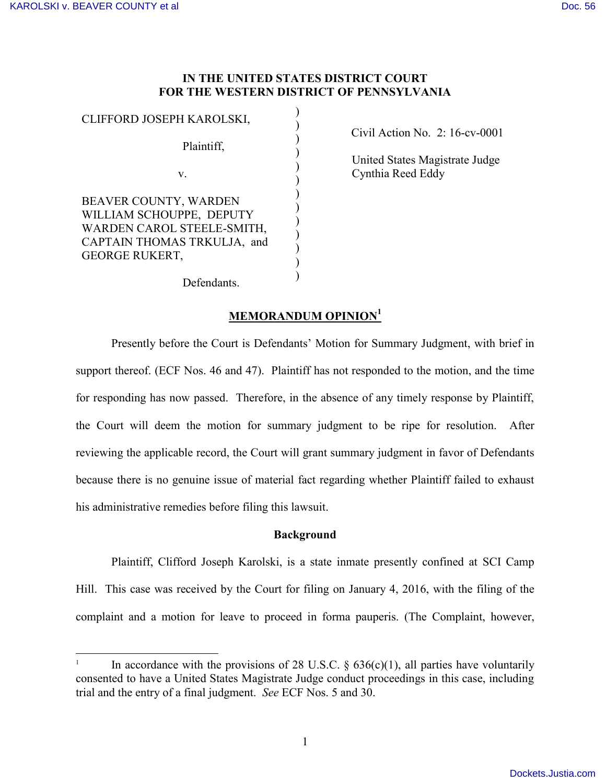$\overline{\phantom{a}}$ 

## **IN THE UNITED STATES DISTRICT COURT FOR THE WESTERN DISTRICT OF PENNSYLVANIA**

)

| CLIFFORD JOSEPH KAROLSKI,                                                                                                               |  |
|-----------------------------------------------------------------------------------------------------------------------------------------|--|
| Plaintiff,                                                                                                                              |  |
| V.                                                                                                                                      |  |
| BEAVER COUNTY, WARDEN<br>WILLIAM SCHOUPPE, DEPUTY<br>WARDEN CAROL STEELE-SMITH,<br>CAPTAIN THOMAS TRKULJA, and<br><b>GEORGE RUKERT,</b> |  |

Civil Action No. 2: 16-cv-0001

 United States Magistrate Judge Cynthia Reed Eddy

Defendants.

# **MEMORANDUM OPINION<sup>1</sup>**

Presently before the Court is Defendants' Motion for Summary Judgment, with brief in support thereof. (ECF Nos. 46 and 47). Plaintiff has not responded to the motion, and the time for responding has now passed. Therefore, in the absence of any timely response by Plaintiff, the Court will deem the motion for summary judgment to be ripe for resolution. After reviewing the applicable record, the Court will grant summary judgment in favor of Defendants because there is no genuine issue of material fact regarding whether Plaintiff failed to exhaust his administrative remedies before filing this lawsuit.

# **Background**

Plaintiff, Clifford Joseph Karolski, is a state inmate presently confined at SCI Camp Hill. This case was received by the Court for filing on January 4, 2016, with the filing of the complaint and a motion for leave to proceed in forma pauperis. (The Complaint, however,

<sup>1</sup> In accordance with the provisions of 28 U.S.C.  $\S$  636(c)(1), all parties have voluntarily consented to have a United States Magistrate Judge conduct proceedings in this case, including trial and the entry of a final judgment. *See* ECF Nos. 5 and 30.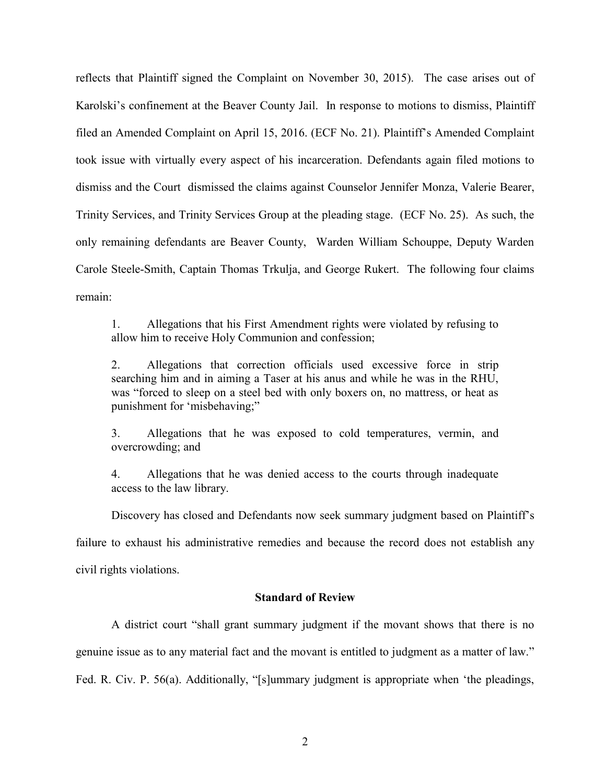reflects that Plaintiff signed the Complaint on November 30, 2015). The case arises out of Karolski's confinement at the Beaver County Jail. In response to motions to dismiss, Plaintiff filed an Amended Complaint on April 15, 2016. (ECF No. 21). Plaintiff's Amended Complaint took issue with virtually every aspect of his incarceration. Defendants again filed motions to dismiss and the Court dismissed the claims against Counselor Jennifer Monza, Valerie Bearer, Trinity Services, and Trinity Services Group at the pleading stage. (ECF No. 25). As such, the only remaining defendants are Beaver County, Warden William Schouppe, Deputy Warden Carole Steele-Smith, Captain Thomas Trkulja, and George Rukert. The following four claims remain:

1. Allegations that his First Amendment rights were violated by refusing to allow him to receive Holy Communion and confession;

2. Allegations that correction officials used excessive force in strip searching him and in aiming a Taser at his anus and while he was in the RHU, was "forced to sleep on a steel bed with only boxers on, no mattress, or heat as punishment for 'misbehaving;"

3. Allegations that he was exposed to cold temperatures, vermin, and overcrowding; and

4. Allegations that he was denied access to the courts through inadequate access to the law library.

Discovery has closed and Defendants now seek summary judgment based on Plaintiff's

failure to exhaust his administrative remedies and because the record does not establish any

civil rights violations.

#### **Standard of Review**

A district court "shall grant summary judgment if the movant shows that there is no genuine issue as to any material fact and the movant is entitled to judgment as a matter of law." Fed. R. Civ. P. 56(a). Additionally, "[s]ummary judgment is appropriate when 'the pleadings,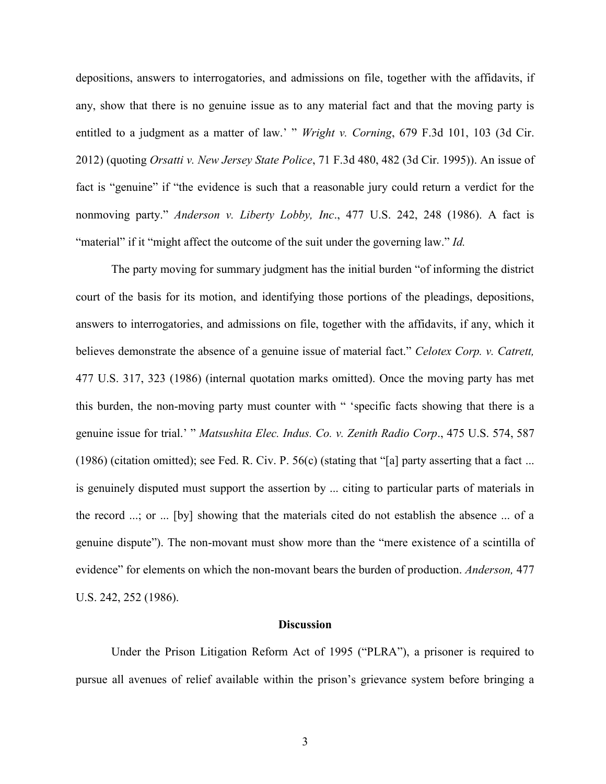depositions, answers to interrogatories, and admissions on file, together with the affidavits, if any, show that there is no genuine issue as to any material fact and that the moving party is entitled to a judgment as a matter of law.' " *Wright v. Corning*, 679 F.3d 101, 103 (3d Cir. 2012) (quoting *Orsatti v. New Jersey State Police*, 71 F.3d 480, 482 (3d Cir. 1995)). An issue of fact is "genuine" if "the evidence is such that a reasonable jury could return a verdict for the nonmoving party." *Anderson v. Liberty Lobby, Inc*., 477 U.S. 242, 248 (1986). A fact is "material" if it "might affect the outcome of the suit under the governing law." *Id.*

The party moving for summary judgment has the initial burden "of informing the district court of the basis for its motion, and identifying those portions of the pleadings, depositions, answers to interrogatories, and admissions on file, together with the affidavits, if any, which it believes demonstrate the absence of a genuine issue of material fact." *Celotex Corp. v. Catrett,* 477 U.S. 317, 323 (1986) (internal quotation marks omitted). Once the moving party has met this burden, the non-moving party must counter with " 'specific facts showing that there is a genuine issue for trial.' " *Matsushita Elec. Indus. Co. v. Zenith Radio Corp*., 475 U.S. 574, 587 (1986) (citation omitted); see Fed. R. Civ. P. 56(c) (stating that "[a] party asserting that a fact ... is genuinely disputed must support the assertion by ... citing to particular parts of materials in the record ...; or ... [by] showing that the materials cited do not establish the absence ... of a genuine dispute"). The non-movant must show more than the "mere existence of a scintilla of evidence" for elements on which the non-movant bears the burden of production. *Anderson,* 477 U.S. 242, 252 (1986).

#### **Discussion**

Under the Prison Litigation Reform Act of 1995 ("PLRA"), a prisoner is required to pursue all avenues of relief available within the prison's grievance system before bringing a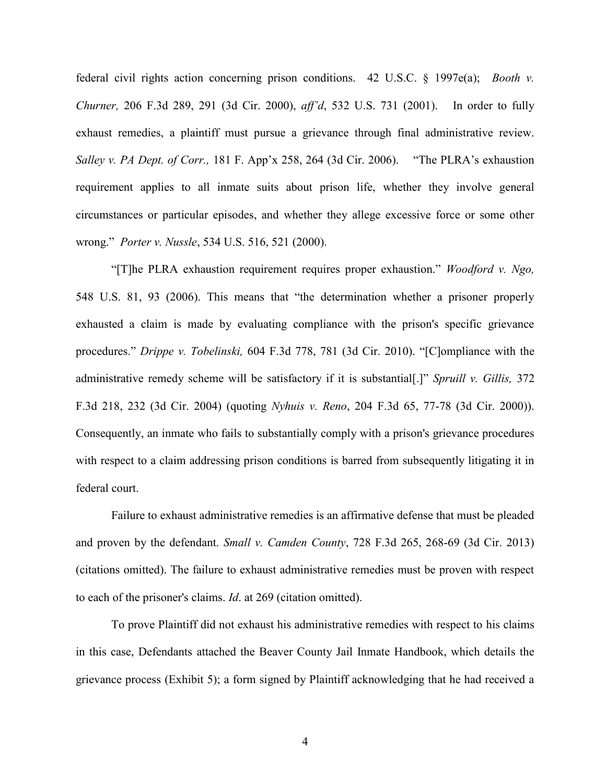federal civil rights action concerning prison conditions. 42 U.S.C. § 1997e(a); *Booth v. Churner,* 206 F.3d 289, 291 (3d Cir. 2000), *aff'd*, 532 U.S. 731 (2001). In order to fully exhaust remedies, a plaintiff must pursue a grievance through final administrative review. *Salley v. PA Dept. of Corr.,* 181 F. App'x 258, 264 (3d Cir. 2006). "The PLRA's exhaustion requirement applies to all inmate suits about prison life, whether they involve general circumstances or particular episodes, and whether they allege excessive force or some other wrong." *Porter v. Nussle*, 534 U.S. 516, 521 (2000).

"[T]he PLRA exhaustion requirement requires proper exhaustion." *Woodford v. Ngo,* 548 U.S. 81, 93 (2006). This means that "the determination whether a prisoner properly exhausted a claim is made by evaluating compliance with the prison's specific grievance procedures." *Drippe v. Tobelinski,* 604 F.3d 778, 781 (3d Cir. 2010). "[C]ompliance with the administrative remedy scheme will be satisfactory if it is substantial[.]" *Spruill v. Gillis,* 372 F.3d 218, 232 (3d Cir. 2004) (quoting *Nyhuis v. Reno*, 204 F.3d 65, 77-78 (3d Cir. 2000)). Consequently, an inmate who fails to substantially comply with a prison's grievance procedures with respect to a claim addressing prison conditions is barred from subsequently litigating it in federal court.

Failure to exhaust administrative remedies is an affirmative defense that must be pleaded and proven by the defendant. *Small v. Camden County*, 728 F.3d 265, 268-69 (3d Cir. 2013) (citations omitted). The failure to exhaust administrative remedies must be proven with respect to each of the prisoner's claims. *Id*. at 269 (citation omitted).

To prove Plaintiff did not exhaust his administrative remedies with respect to his claims in this case, Defendants attached the Beaver County Jail Inmate Handbook, which details the grievance process (Exhibit 5); a form signed by Plaintiff acknowledging that he had received a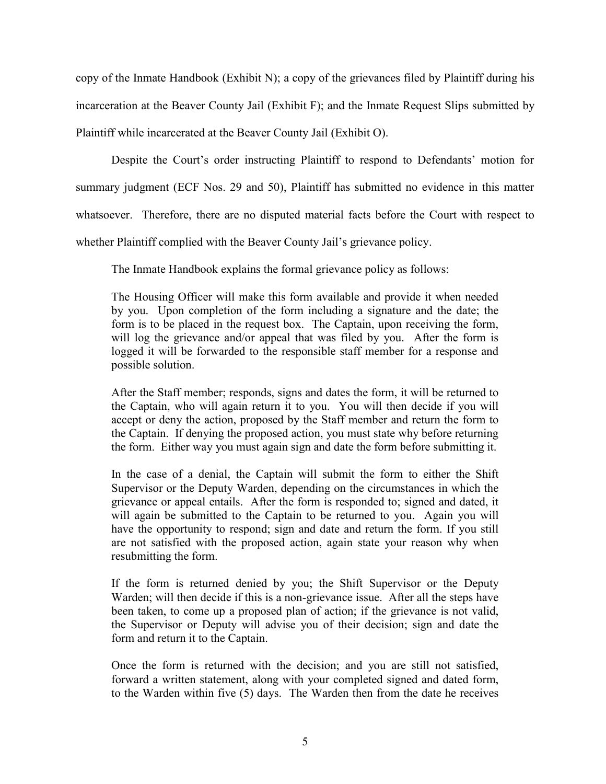copy of the Inmate Handbook (Exhibit N); a copy of the grievances filed by Plaintiff during his incarceration at the Beaver County Jail (Exhibit F); and the Inmate Request Slips submitted by Plaintiff while incarcerated at the Beaver County Jail (Exhibit O).

Despite the Court's order instructing Plaintiff to respond to Defendants' motion for summary judgment (ECF Nos. 29 and 50), Plaintiff has submitted no evidence in this matter whatsoever. Therefore, there are no disputed material facts before the Court with respect to whether Plaintiff complied with the Beaver County Jail's grievance policy.

The Inmate Handbook explains the formal grievance policy as follows:

The Housing Officer will make this form available and provide it when needed by you. Upon completion of the form including a signature and the date; the form is to be placed in the request box. The Captain, upon receiving the form, will log the grievance and/or appeal that was filed by you. After the form is logged it will be forwarded to the responsible staff member for a response and possible solution.

After the Staff member; responds, signs and dates the form, it will be returned to the Captain, who will again return it to you. You will then decide if you will accept or deny the action, proposed by the Staff member and return the form to the Captain. If denying the proposed action, you must state why before returning the form. Either way you must again sign and date the form before submitting it.

In the case of a denial, the Captain will submit the form to either the Shift Supervisor or the Deputy Warden, depending on the circumstances in which the grievance or appeal entails. After the form is responded to; signed and dated, it will again be submitted to the Captain to be returned to you. Again you will have the opportunity to respond; sign and date and return the form. If you still are not satisfied with the proposed action, again state your reason why when resubmitting the form.

If the form is returned denied by you; the Shift Supervisor or the Deputy Warden; will then decide if this is a non-grievance issue. After all the steps have been taken, to come up a proposed plan of action; if the grievance is not valid, the Supervisor or Deputy will advise you of their decision; sign and date the form and return it to the Captain.

Once the form is returned with the decision; and you are still not satisfied, forward a written statement, along with your completed signed and dated form, to the Warden within five (5) days. The Warden then from the date he receives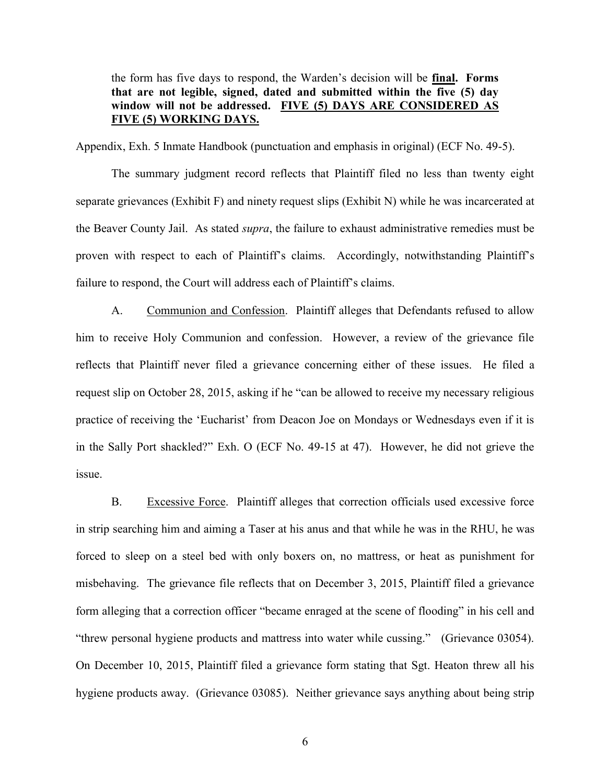the form has five days to respond, the Warden's decision will be **final. Forms that are not legible, signed, dated and submitted within the five (5) day window will not be addressed. FIVE (5) DAYS ARE CONSIDERED AS FIVE (5) WORKING DAYS.**

Appendix, Exh. 5 Inmate Handbook (punctuation and emphasis in original) (ECF No. 49-5).

The summary judgment record reflects that Plaintiff filed no less than twenty eight separate grievances (Exhibit F) and ninety request slips (Exhibit N) while he was incarcerated at the Beaver County Jail. As stated *supra*, the failure to exhaust administrative remedies must be proven with respect to each of Plaintiff's claims. Accordingly, notwithstanding Plaintiff's failure to respond, the Court will address each of Plaintiff's claims.

A. Communion and Confession. Plaintiff alleges that Defendants refused to allow him to receive Holy Communion and confession. However, a review of the grievance file reflects that Plaintiff never filed a grievance concerning either of these issues. He filed a request slip on October 28, 2015, asking if he "can be allowed to receive my necessary religious practice of receiving the 'Eucharist' from Deacon Joe on Mondays or Wednesdays even if it is in the Sally Port shackled?" Exh. O (ECF No. 49-15 at 47). However, he did not grieve the issue.

B. Excessive Force. Plaintiff alleges that correction officials used excessive force in strip searching him and aiming a Taser at his anus and that while he was in the RHU, he was forced to sleep on a steel bed with only boxers on, no mattress, or heat as punishment for misbehaving. The grievance file reflects that on December 3, 2015, Plaintiff filed a grievance form alleging that a correction officer "became enraged at the scene of flooding" in his cell and "threw personal hygiene products and mattress into water while cussing." (Grievance 03054). On December 10, 2015, Plaintiff filed a grievance form stating that Sgt. Heaton threw all his hygiene products away. (Grievance 03085). Neither grievance says anything about being strip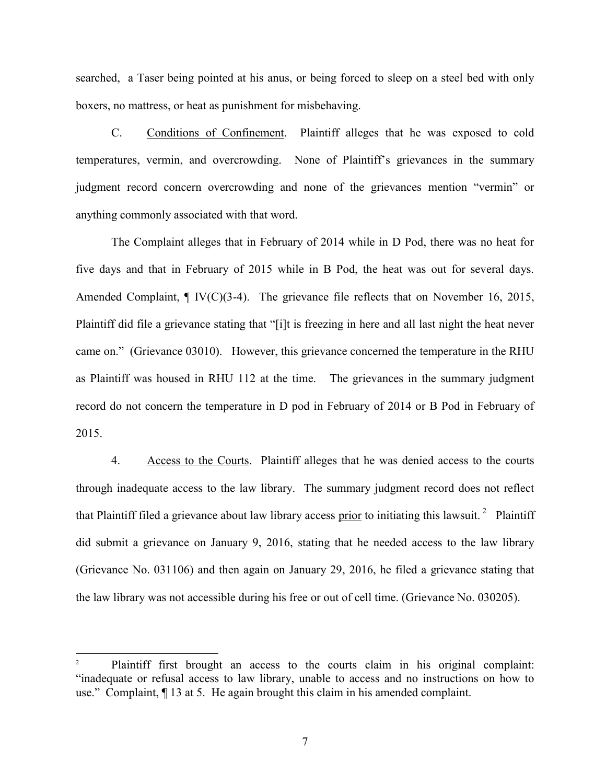searched, a Taser being pointed at his anus, or being forced to sleep on a steel bed with only boxers, no mattress, or heat as punishment for misbehaving.

C. Conditions of Confinement. Plaintiff alleges that he was exposed to cold temperatures, vermin, and overcrowding. None of Plaintiff's grievances in the summary judgment record concern overcrowding and none of the grievances mention "vermin" or anything commonly associated with that word.

The Complaint alleges that in February of 2014 while in D Pod, there was no heat for five days and that in February of 2015 while in B Pod, the heat was out for several days. Amended Complaint,  $\P$  IV(C)(3-4). The grievance file reflects that on November 16, 2015, Plaintiff did file a grievance stating that "[i]t is freezing in here and all last night the heat never came on." (Grievance 03010). However, this grievance concerned the temperature in the RHU as Plaintiff was housed in RHU 112 at the time. The grievances in the summary judgment record do not concern the temperature in D pod in February of 2014 or B Pod in February of 2015.

4. Access to the Courts. Plaintiff alleges that he was denied access to the courts through inadequate access to the law library. The summary judgment record does not reflect that Plaintiff filed a grievance about law library access prior to initiating this lawsuit.<sup>2</sup> Plaintiff did submit a grievance on January 9, 2016, stating that he needed access to the law library (Grievance No. 031106) and then again on January 29, 2016, he filed a grievance stating that the law library was not accessible during his free or out of cell time. (Grievance No. 030205).

 $\overline{\phantom{a}}$ 

Plaintiff first brought an access to the courts claim in his original complaint: "inadequate or refusal access to law library, unable to access and no instructions on how to use." Complaint, ¶ 13 at 5. He again brought this claim in his amended complaint.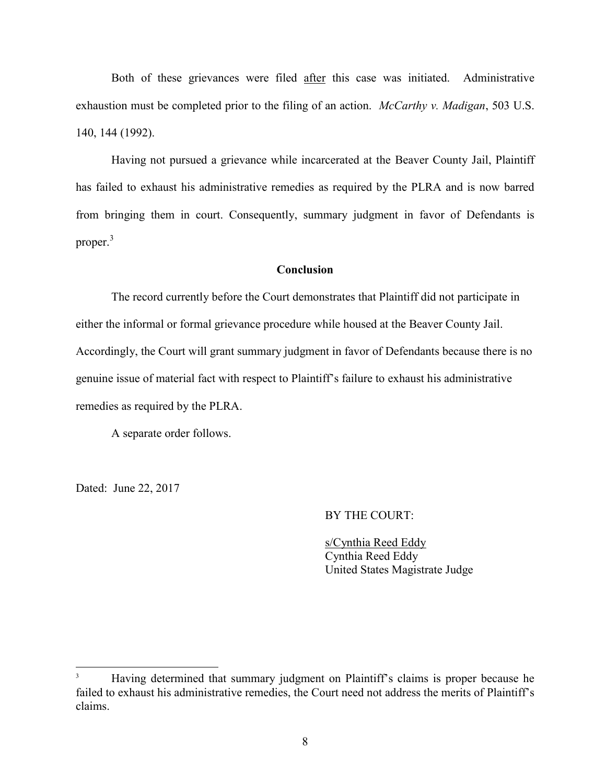Both of these grievances were filed after this case was initiated. Administrative exhaustion must be completed prior to the filing of an action. *McCarthy v. Madigan*, 503 U.S. 140, 144 (1992).

Having not pursued a grievance while incarcerated at the Beaver County Jail, Plaintiff has failed to exhaust his administrative remedies as required by the PLRA and is now barred from bringing them in court. Consequently, summary judgment in favor of Defendants is proper.<sup>3</sup>

## **Conclusion**

The record currently before the Court demonstrates that Plaintiff did not participate in either the informal or formal grievance procedure while housed at the Beaver County Jail. Accordingly, the Court will grant summary judgment in favor of Defendants because there is no genuine issue of material fact with respect to Plaintiff's failure to exhaust his administrative remedies as required by the PLRA.

A separate order follows.

Dated: June 22, 2017

 $\overline{\phantom{a}}$ 

### BY THE COURT:

s/Cynthia Reed Eddy Cynthia Reed Eddy United States Magistrate Judge

<sup>&</sup>lt;sup>3</sup> Having determined that summary judgment on Plaintiff's claims is proper because he failed to exhaust his administrative remedies, the Court need not address the merits of Plaintiff's claims.